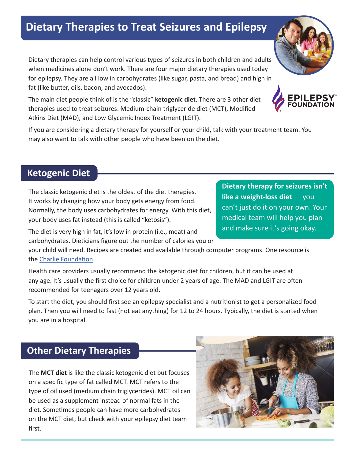# **Dietary Therapies to Treat Seizures and Epilepsy**

Dietary therapies can help control various types of seizures in both children and adults when medicines alone don't work. There are four major dietary therapies used today for epilepsy. They are all low in carbohydrates (like sugar, pasta, and bread) and high in fat (like butter, oils, bacon, and avocados).

The main diet people think of is the "classic" **ketogenic diet**. There are 3 other diet therapies used to treat seizures: Medium-chain triglyceride diet (MCT), Modified Atkins Diet (MAD), and Low Glycemic Index Treatment (LGIT).

If you are considering a dietary therapy for yourself or your child, talk with your treatment team. You may also want to talk with other people who have been on the diet.

## **Ketogenic Diet**

The classic ketogenic diet is the oldest of the diet therapies. It works by changing how your body gets energy from food. Normally, the body uses carbohydrates for energy. With this diet, your body uses fat instead (this is called "ketosis").

The diet is very high in fat, it's low in protein (i.e., meat) and carbohydrates. Dieticians figure out the number of calories you or

your child will need. Recipes are created and available through computer programs. One resource is the Charlie Foundation.

Health care providers usually recommend the ketogenic diet for children, but it can be used at any age. It's usually the first choice for children under 2 years of age. The MAD and LGIT are often recommended for teenagers over 12 years old.

To start the diet, you should first see an epilepsy specialist and a nutritionist to get a personalized food plan. Then you will need to fast (not eat anything) for 12 to 24 hours. Typically, the diet is started when you are in a hospital.

## **Other Dietary Therapies**

The **MCT diet** is like the classic ketogenic diet but focuses on a specific type of fat called MCT. MCT refers to the type of oil used (medium chain triglycerides). MCT oil can be used as a supplement instead of normal fats in the diet. Sometimes people can have more carbohydrates on the MCT diet, but check with your epilepsy diet team first.



and make sure it's going okay.



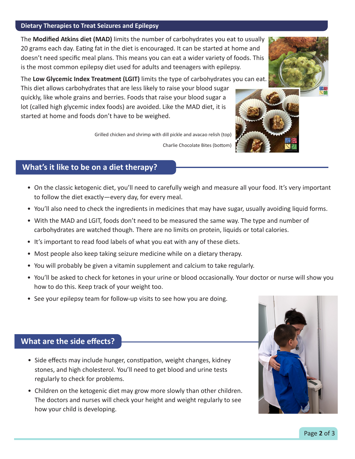#### **Dietary Therapies to Treat Seizures and Epilepsy**

The **Modified Atkins diet (MAD)** limits the number of carbohydrates you eat to usually 20 grams each day. Eating fat in the diet is encouraged. It can be started at home and doesn't need specific meal plans. This means you can eat a wider variety of foods. This is the most common epilepsy diet used for adults and teenagers with epilepsy.

The **Low Glycemic Index Treatment (LGIT)** limits the type of carbohydrates you can eat.

This diet allows carbohydrates that are less likely to raise your blood sugar quickly, like whole grains and berries. Foods that raise your blood sugar a lot (called high glycemic index foods) are avoided. Like the MAD diet, it is started at home and foods don't have to be weighed.

Grilled chicken and shrimp with dill pickle and avacao relish (top)

Charlie Chocolate Bites (bottom)

#### **What's it like to be on a diet therapy?**

- On the classic ketogenic diet, you'll need to carefully weigh and measure all your food. It's very important to follow the diet exactly—every day, for every meal.
- You'll also need to check the ingredients in medicines that may have sugar, usually avoiding liquid forms.
- With the MAD and LGIT, foods don't need to be measured the same way. The type and number of carbohydrates are watched though. There are no limits on protein, liquids or total calories.
- It's important to read food labels of what you eat with any of these diets.
- Most people also keep taking seizure medicine while on a dietary therapy.
- You will probably be given a vitamin supplement and calcium to take regularly.
- You'll be asked to check for ketones in your urine or blood occasionally. Your doctor or nurse will show you how to do this. Keep track of your weight too.
- See your epilepsy team for follow-up visits to see how you are doing.

#### **What are the side effects?**

- Side effects may include hunger, constipation, weight changes, kidney stones, and high cholesterol. You'll need to get blood and urine tests regularly to check for problems.
- Children on the ketogenic diet may grow more slowly than other children. The doctors and nurses will check your height and weight regularly to see how your child is developing.